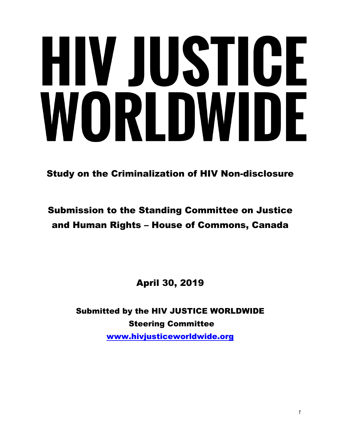# HIV JUSTICE WORLDWIDE

Study on the Criminalization of HIV Non-disclosure

# Submission to the Standing Committee on Justice and Human Rights – House of Commons, Canada

April 30, 2019

Submitted by the HIV JUSTICE WORLDWIDE Steering Committee [www.hivjusticeworldwide.org](http://www.hivjusticeworldwide.org/en/about/steering-committee/)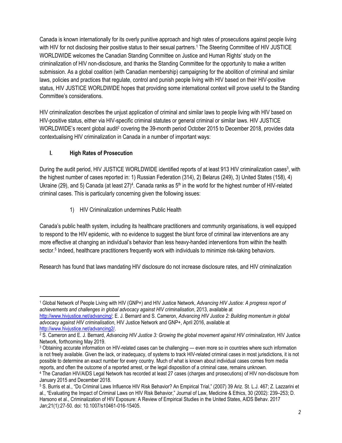Canada is known internationally for its overly punitive approach and high rates of prosecutions against people living with HIV for not disclosing their positive status to their sexual partners.<sup>1</sup> The Steering Committee of HIV JUSTICE WORLDWIDE welcomes the Canadian Standing Committee on Justice and Human Rights' study on the criminalization of HIV non-disclosure, and thanks the Standing Committee for the opportunity to make a written submission. As a global coalition (with Canadian membership) campaigning for the abolition of criminal and similar laws, policies and practices that regulate, control and punish people living with HIV based on their HIV-positive status, HIV JUSTICE WORLDWIDE hopes that providing some international context will prove useful to the Standing Committee's considerations.

HIV criminalization describes the unjust application of criminal and similar laws to people living with HIV based on HIV-positive status, either via HIV-specific criminal statutes or general criminal or similar laws. HIV JUSTICE WORLDWIDE's recent global audit<sup>2</sup> covering the 39-month period October 2015 to December 2018, provides data contextualising HIV criminalization in Canada in a number of important ways:

#### **I. High Rates of Prosecution**

During the audit period, HIV JUSTICE WORLDWIDE identified reports of at least 913 HIV criminalization cases<sup>3</sup>, with the highest number of cases reported in: 1) Russian Federation (314), 2) Belarus (249), 3) United States (158), 4) Ukraine (29), and 5) Canada (at least 27)<sup>4</sup>. Canada ranks as 5<sup>th</sup> in the world for the highest number of HIV-related criminal cases. This is particularly concerning given the following issues:

1) HIV Criminalization undermines Public Health

Canada's public health system, including its healthcare practitioners and community organisations, is well equipped to respond to the HIV epidemic, with no evidence to suggest the blunt force of criminal law interventions are any more effective at changing an individual's behavior than less heavy-handed interventions from within the health sector.<sup>5</sup> Indeed, healthcare practitioners frequently work with individuals to minimize risk-taking behaviors.

Research has found that laws mandating HIV disclosure do not increase disclosure rates, and HIV criminalization

<sup>1</sup> Global Network of People Living with HIV (GNP+) and HIV Justice Network, *Advancing HIV Justice: A progress report of achievements and challenges in global advocacy against HIV criminalisation*, 2013, available at [http://www.hivjustice.net/advancing/;](http://www.hivjustice.net/advancing/) E. J. Bernard and S. Cameron, *Advancing HIV Justice 2: Building momentum in global advocacy against HIV criminalisation*, HIV Justice Network and GNP+, April 2016, available at <http://www.hivjustice.net/advancing2/>.

<sup>&</sup>lt;sup>2</sup> S. Cameron and E. J. Bernard, *Advancing HIV Justice 3: Growing the global movement against HIV criminalization, HIV Justice* Network, forthcoming May 2019.

 $3$  Obtaining accurate information on HIV-related cases can be challenging — even more so in countries where such information is not freely available. Given the lack, or inadequacy, of systems to track HIV-related criminal cases in most jurisdictions, it is not possible to determine an exact number for every country. Much of what is known about individual cases comes from media reports, and often the outcome of a reported arrest, or the legal disposition of a criminal case, remains unknown.

<sup>4</sup> The Canadian HIV/AIDS Legal Network has recorded at least 27 cases (charges and prosecutions) of HIV non-disclosure from January 2015 and December 2018.

<sup>5</sup> S. Burris et al., "Do Criminal Laws Influence HIV Risk Behavior? An Empirical Trial," (2007) 39 Ariz. St. L.J. 467; Z. Lazzarini et al., "Evaluating the Impact of Criminal Laws on HIV Risk Behavior," Journal of Law, Medicine & Ethics, 30 (2002): 239–253; D. Harsono et al., Criminalization of HIV Exposure: A Review of Empirical Studies in the United States, AIDS Behav. 2017 Jan;21(1):27-50. doi: 10.1007/s10461-016-15405.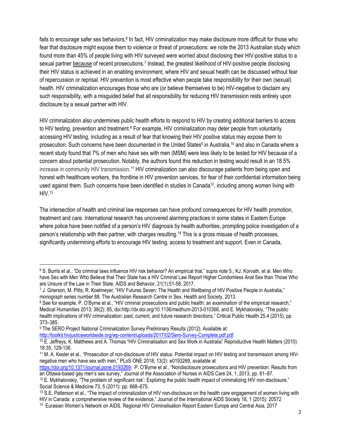fails to encourage safer sex behaviors.<sup>6</sup> In fact, HIV criminalization may make disclosure more difficult for those who fear that disclosure might expose them to violence or threat of prosecutions: we note the 2013 Australian study which found more than 45% of people living with HIV surveyed were worried about disclosing their HIV-positive status to a sexual partner because of recent prosecutions.<sup>7</sup> Instead, the greatest likelihood of HIV-positive people disclosing their HIV status is achieved in an enabling environment, where HIV and sexual health can be discussed without fear of repercussion or reprisal. HIV prevention is most effective when people take responsibility for their own (sexual) health. HIV criminalization encourages those who are (or believe themselves to be) HIV-negative to disclaim any such responsibility, with a misguided belief that all responsibility for reducing HIV transmission rests entirely upon disclosure by a sexual partner with HIV.

HIV criminalization also undermines public health efforts to respond to HIV by creating additional barriers to access to HIV testing, prevention and treatment.<sup>8</sup> For example, HIV criminalization may deter people from voluntarily accessing HIV testing, including as a result of fear that knowing their HIV positive status may expose them to prosecution. Such concerns have been documented in the United States<sup>9</sup> in Australia,<sup>10</sup> and also in Canada where a recent study found that 7% of men who have sex with men (MSM) were less likely to be tested for HIV because of a concern about potential prosecution. Notably, the authors found this reduction in testing would result in an 18.5% increase in community HIV transmission.<sup>11</sup> HIV criminalization can also discourage patients from being open and honest with healthcare workers, the frontline in HIV prevention services, for fear of their confidential information being used against them. Such concerns have been identified in studies in Canada<sup>12</sup>, including among women living with  $HIV<sub>.13</sub>$ 

The intersection of health and criminal law responses can have profound consequences for HIV health promotion, treatment and care. International research has uncovered alarming practices in some states in Eastern Europe where police have been notified of a person's HIV diagnosis by health authorities, prompting police investigation of a person's relationship with their partner, with charges resulting.<sup>14</sup> This is a gross misuse of health processes, significantly undermining efforts to encourage HIV testing, access to treatment and support. Even in Canada,

[http://toolkit.hivjusticeworldwide.org/wp-content/uploads/2017/02/Sero-Survey-Complete.pdf.pdf.](http://toolkit.hivjusticeworldwide.org/wp-content/uploads/2017/02/Sero-Survey-Complete.pdf.pdf)

<sup>6</sup> S. Burris et al., "Do criminal laws influence HIV risk behavior? An empirical trial," supra note 5.; KJ. Korvath, et al. Men Who have Sex with Men Who Believe that Their State has a HIV Criminal Law Report Higher Condomless Anal Sex than Those Who are Unsure of the Law in Their State, AIDS and Behavior, 21(1):51-58, 2017.

<sup>7</sup> J. Grierson, M. Pitts, R. Koelmeyer, "HIV Futures Seven: The Health and Wellbeing of HIV Positive People in Australia," monograph series number 88, The Australian Research Centre in Sex, Health and Society, 2013.

<sup>&</sup>lt;sup>8</sup> See for example, P. O'Byrne et al., "HIV criminal prosecutions and public health: an examination of the empirical research," Medical Humanities 2013; 39(2): 85, doi:http://dx.doi.org/10.1136/medhum-2013-010366, and E. Mykhalovskiy, "The public health implications of HIV criminalization: past, current, and future research directions," Critical Public Health 25,4 (2015), pp. 373–385.

<sup>&</sup>lt;sup>9</sup> The SERO Project National Criminalization Survey Preliminary Results (2012). Available at:

<sup>10</sup> E. Jeffreys, K. Matthews and A. Thomas "HIV Criminalisation and Sex Work in Australia" Reproductive Health Matters (2010) 18:35, 129-136.

<sup>11</sup> M. A. Kesler et al., "Prosecution of non-disclosure of HIV status: Potential impact on HIV testing and transmission among HIVnegative men who have sex with men," PLoS ONE 2018; 13(2): e0193269, available at

<https://doi.org/10.1371/journal.pone.0193269>; P. O'Byrne et al., "Nondisclosure prosecutions and HIV prevention: Results from an Ottawa-based gay men's sex survey," Journal of the Association of Nurses in AIDS Care 24, 1, 2013, pp. 81–87.

<sup>12</sup> E. Mykhalovskiy, "The problem of 'significant risk': Exploring the public health impact of criminalizing HIV non-disclosure," Social Science & Medicine 73, 5 (2011): pp. 668–675.

<sup>&</sup>lt;sup>13</sup> S.E. Patterson et al., "The impact of criminalization of HIV non-disclosure on the health care engagement of women living with HIV in Canada: a comprehensive review of the evidence," Journal of the International AIDS Society 18, 1 (2015): 20572

<sup>14</sup> Eurasian Women's Network on AIDS. Regional HIV Criminalisation Report Eastern Europe and Central Asia, 2017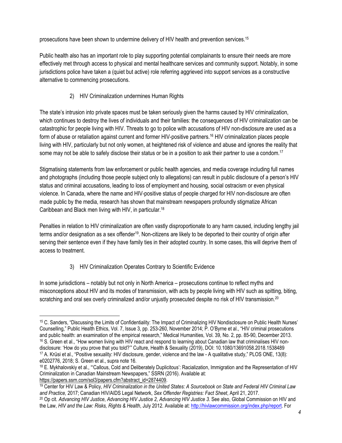prosecutions have been shown to undermine delivery of HIV health and prevention services.<sup>15</sup>

Public health also has an important role to play supporting potential complainants to ensure their needs are more effectively met through access to physical and mental healthcare services and community support. Notably, in some jurisdictions police have taken a (quiet but active) role referring aggrieved into support services as a constructive alternative to commencing prosecutions.

## 2) HIV Criminalization undermines Human Rights

The state's intrusion into private spaces must be taken seriously given the harms caused by HIV criminalization, which continues to destroy the lives of individuals and their families: the consequences of HIV criminalization can be catastrophic for people living with HIV. Threats to go to police with accusations of HIV non-disclosure are used as a form of abuse or retaliation against current and former HIV-positive partners.<sup>16</sup> HIV criminalization places people living with HIV, particularly but not only women, at heightened risk of violence and abuse and ignores the reality that some may not be able to safely disclose their status or be in a position to ask their partner to use a condom.<sup>17</sup>

Stigmatising statements from law enforcement or public health agencies, and media coverage including full names and photographs (including those people subject only to allegations) can result in public disclosure of a person's HIV status and criminal accusations, leading to loss of employment and housing, social ostracism or even physical violence. In Canada, where the name and HIV-positive status of people charged for HIV non-disclosure are often made public by the media, research has shown that mainstream newspapers profoundly stigmatize African Caribbean and Black men living with HIV, in particular.<sup>18</sup>

Penalties in relation to HIV criminalization are often vastly disproportionate to any harm caused, including lengthy jail terms and/or designation as a sex offender<sup>19</sup>. Non-citizens are likely to be deported to their country of origin after serving their sentence even if they have family ties in their adopted country. In some cases, this will deprive them of access to treatment.

# 3) HIV Criminalization Operates Contrary to Scientific Evidence

In some jurisdictions – notably but not only in North America – prosecutions continue to reflect myths and misconceptions about HIV and its modes of transmission, with acts by people living with HIV such as spitting, biting, scratching and oral sex overly criminalized and/or unjustly prosecuted despite no risk of HIV transmission.<sup>20</sup>

<sup>19</sup> Center for HIV Law & Policy, *HIV Criminalization in the United States: A Sourcebook on State and Federal HIV Criminal Law and Practice,* 2017; Canadian HIV/AIDS Legal Network, *Sex Offender Registries: Fact Sheet*, April 21, 2017.

<sup>15</sup> C. Sanders, "Discussing the Limits of Confidentiality: The Impact of Criminalizing HIV Nondisclosure on Public Health Nurses' Counselling," Public Health Ethics, Vol. 7, Issue 3, pp. 253-260, November 2014; P. O'Byrne et al., "HIV criminal prosecutions and public health: an examination of the empirical research," Medical Humanities, Vol. 39, No. 2, pp. 85-90, December 2013.  $16$  S. Green et al., "How women living with HIV react and respond to learning about Canadian law that criminalises HIV nondisclosure: 'How do you prove that you told?'" Culture, Health & Sexuality (2019), DOI: 10.1080/13691058.2018.1538489 <sup>17</sup> A. Krüsi et al., "Positive sexuality: HIV disclosure, gender, violence and the law - A qualitative study," PLOS ONE, 13(8): e0202776, 2018; S. Green et al., supra note 16.

<sup>&</sup>lt;sup>18</sup> E. Mykhalovskiy et al., "Callous, Cold and Deliberately Duplicitous': Racialization, Immigration and the Representation of HIV Criminalization in Canadian Mainstream Newspapers," SSRN (2016). Available at: [https://papers.ssrn.com/sol3/papers.cfm?abstract\\_id=2874409.](https://papers.ssrn.com/sol3/papers.cfm?abstract_id=2874409)

<sup>20</sup> Op cit. *Advancing HIV Justice*, *Advancing HIV Justice 2*, *Advancing HIV Justice 3*. See also, Global Commission on HIV and the Law, *HIV and the Law: Risks, Rights & Health*, July 2012. Available at:<http://hivlawcommission.org/index.php/report>. For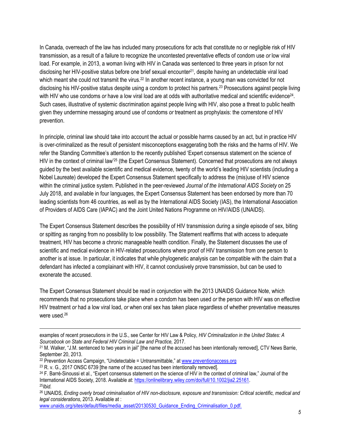In Canada, overreach of the law has included many prosecutions for acts that constitute no or negligible risk of HIV transmission, as a result of a failure to recognize the uncontested preventative effects of condom use *or* low viral load. For example, in 2013, a woman living with HIV in Canada was sentenced to three years in prison for not disclosing her HIV-positive status before one brief sexual encounter<sup>21</sup>, despite having an undetectable viral load which meant she could not transmit the virus.<sup>22</sup> In another recent instance, a young man was convicted for not disclosing his HIV-positive status despite using a condom to protect his partners.<sup>23</sup> Prosecutions against people living with HIV who use condoms or have a low viral load are at odds with authoritative medical and scientific evidence<sup>24</sup>. Such cases, illustrative of systemic discrimination against people living with HIV, also pose a threat to public health given they undermine messaging around use of condoms *or* treatment as prophylaxis: the cornerstone of HIV prevention.

In principle, criminal law should take into account the actual or possible harms caused by an act, but in practice HIV is over-criminalized as the result of persistent misconceptions exaggerating both the risks and the harms of HIV. We refer the Standing Committee's attention to the recently published 'Expert consensus statement on the science of HIV in the context of criminal law'<sup>25</sup> (the Expert Consensus Statement). Concerned that prosecutions are not always guided by the best available scientific and medical evidence, twenty of the world's leading HIV scientists (including a Nobel Laureate) developed the Expert Consensus Statement specifically to address the (mis)use of HIV science within the criminal justice system. Published in the peer-reviewed *Journal of the International AIDS Society* on 25 July 2018, and available in four languages, the Expert Consensus Statement has been endorsed by more than 70 leading scientists from 46 countries, as well as by the International AIDS Society (IAS), the International Association of Providers of AIDS Care (IAPAC) and the Joint United Nations Programme on HIV/AIDS (UNAIDS).

The Expert Consensus Statement describes the possibility of HIV transmission during a single episode of sex, biting or spitting as ranging from no possibility to low possibility. The Statement reaffirms that with access to adequate treatment, HIV has become a chronic manageable health condition. Finally, the Statement discusses the use of scientific and medical evidence in HIV-related prosecutions where proof of HIV transmission from one person to another is at issue. In particular, it indicates that while phylogenetic analysis can be compatible with the claim that a defendant has infected a complainant with HIV, it cannot conclusively prove transmission, but can be used to exonerate the accused.

The Expert Consensus Statement should be read in conjunction with the 2013 UNAIDS Guidance Note, which recommends that no prosecutions take place when a condom has been used *or* the person with HIV was on effective HIV treatment *or* had a low viral load, *or* when oral sex has taken place regardless of whether preventative measures were used.<sup>26</sup>

examples of recent prosecutions in the U.S., see Center for HIV Law & Policy, *HIV Criminalization in the United States: A Sourcebook on State and Federal HIV Criminal Law and Practice,* 2017.

<sup>&</sup>lt;sup>21</sup> M. Walker, "J.M. sentenced to two years in jail" [the name of the accused has been intentionally removed], CTV News Barrie, September 20, 2013.

 $22$  Prevention Access Campaign, "Undetectable = Untransmittable," at [www.preventionaccess.org](http://www.preventionaccess.org/)

<sup>&</sup>lt;sup>23</sup> R. v. G., 2017 ONSC 6739 [the name of the accused has been intentionally removed].

<sup>&</sup>lt;sup>24</sup> F. Barré-Sinoussi et al., "Expert consensus statement on the science of HIV in the context of criminal law," Journal of the International AIDS Society, 2018. Available at: <https://onlinelibrary.wiley.com/doi/full/10.1002/jia2.25161>. <sup>25</sup>*Ibid.*

<sup>26</sup> UNAIDS, *Ending overly broad criminalisation of HIV non-disclosure, exposure and transmission: Critical scientific, medical and legal considerations*, 2013. Available at :

[www.unaids.org/sites/default/files/media\\_asset/20130530\\_Guidance\\_Ending\\_Criminalisation\\_0.pdf.](http://www.unaids.org/sites/default/files/media_asset/20130530_Guidance_Ending_Criminalisation_0.pdf)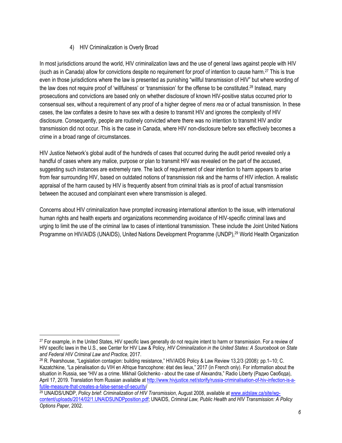#### 4) HIV Criminalization is Overly Broad

In most jurisdictions around the world, HIV criminalization laws and the use of general laws against people with HIV (such as in Canada) allow for convictions despite no requirement for proof of intention to cause harm.<sup>27</sup> This is true even in those jurisdictions where the law is presented as punishing "willful transmission of HIV" but where wording of the law does not require proof of 'willfulness' or 'transmission' for the offense to be constituted.<sup>28</sup> Instead, many prosecutions and convictions are based only on whether disclosure of known HIV-positive status occurred prior to consensual sex, without a requirement of any proof of a higher degree of *mens rea* or of actual transmission. In these cases, the law conflates a desire to have sex with a desire to transmit HIV and ignores the complexity of HIV disclosure. Consequently, people are routinely convicted where there was no intention to transmit HIV and/or transmission did not occur. This is the case in Canada, where HIV non-disclosure before sex effectively becomes a crime in a broad range of circumstances.

HIV Justice Network's global audit of the hundreds of cases that occurred during the audit period revealed only a handful of cases where any malice, purpose or plan to transmit HIV was revealed on the part of the accused, suggesting such instances are extremely rare. The lack of requirement of clear intention to harm appears to arise from fear surrounding HIV, based on outdated notions of transmission risk and the harms of HIV infection. A realistic appraisal of the harm caused by HIV is frequently absent from criminal trials as is proof of actual transmission between the accused and complainant even where transmission is alleged.

Concerns about HIV criminalization have prompted increasing international attention to the issue, with international human rights and health experts and organizations recommending avoidance of HIV-specific criminal laws and urging to limit the use of the criminal law to cases of intentional transmission. These include the Joint United Nations Programme on HIV/AIDS (UNAIDS), United Nations Development Programme (UNDP),<sup>29</sup> World Health Organization

<sup>&</sup>lt;sup>27</sup> For example, in the United States, HIV specific laws generally do not require intent to harm or transmission. For a review of HIV specific laws in the U.S., see Center for HIV Law & Policy, *HIV Criminalization in the United States: A Sourcebook on State and Federal HIV Criminal Law and Practice,* 2017.

<sup>28</sup> R. Pearshouse, "Legislation contagion: building resistance," HIV/AIDS Policy & Law Review 13,2/3 (2008): pp.1–10; C. Kazatchkine, "La pénalisation du VIH en Afrique francophone: état des lieux," 2017 (in French only). For information about the situation in Russia, see "HIV as a crime. Mikhail Golichenko - about the case of Alexandra," Radio Liberty (Радио Свобода), April 17, 2019. Translation from Russian available at [http://www.hivjustice.net/storify/russia-criminalisation-of-hiv-infection-is-a](http://www.hivjustice.net/storify/russia-criminalisation-of-hiv-infection-is-a-futile-measure-that-creates-a-false-sense-of-security)[futile-measure-that-creates-a-false-sense-of-security](http://www.hivjustice.net/storify/russia-criminalisation-of-hiv-infection-is-a-futile-measure-that-creates-a-false-sense-of-security)/

<sup>29</sup> UNAIDS/UNDP, *Policy brief: Criminalization of HIV Transmission*, August 2008, available at [www.aidslaw.ca/site/wp](http://www.aidslaw.ca/site/wp-content/uploads/2014/02/1.UNAIDSUNDPposition.pdf)[content/uploads/2014/02/1.UNAIDSUNDPposition.pdf;](http://www.aidslaw.ca/site/wp-content/uploads/2014/02/1.UNAIDSUNDPposition.pdf) UNAIDS, *Criminal Law, Public Health and HIV Transmission: A Policy Options Paper,* 2002.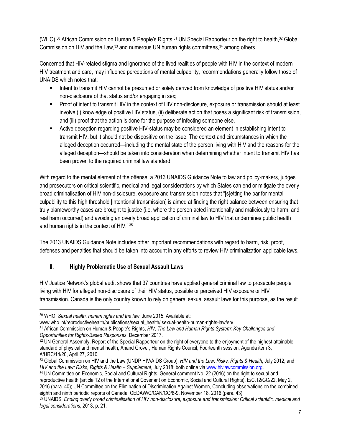(WHO),<sup>30</sup> African Commission on Human & People's Rights,<sup>31</sup> UN Special Rapporteur on the right to health,<sup>32</sup> Global Commission on HIV and the Law,<sup>33</sup> and numerous UN human rights committees,<sup>34</sup> among others.

Concerned that HIV-related stigma and ignorance of the lived realities of people with HIV in the context of modern HIV treatment and care, may influence perceptions of mental culpability, recommendations generally follow those of UNAIDS which notes that:

- Intent to transmit HIV cannot be presumed or solely derived from knowledge of positive HIV status and/or non-disclosure of that status and/or engaging in sex;
- Proof of intent to transmit HIV in the context of HIV non-disclosure, exposure or transmission should at least involve (i) knowledge of positive HIV status, (ii) deliberate action that poses a significant risk of transmission, and (iii) proof that the action is done for the purpose of infecting someone else.
- Active deception regarding positive HIV-status may be considered an element in establishing intent to transmit HIV, but it should not be dispositive on the issue. The context and circumstances in which the alleged deception occurred—including the mental state of the person living with HIV and the reasons for the alleged deception—should be taken into consideration when determining whether intent to transmit HIV has been proven to the required criminal law standard.

With regard to the mental element of the offense, a 2013 UNAIDS Guidance Note to law and policy-makers, judges and prosecutors on critical scientific, medical and legal considerations by which States can end or mitigate the overly broad criminalisation of HIV non-disclosure, exposure and transmission notes that "[s]etting the bar for mental culpability to this high threshold [intentional transmission] is aimed at finding the right balance between ensuring that truly blameworthy cases are brought to justice (i.e. where the person acted intentionally and maliciously to harm, and real harm occurred) and avoiding an overly broad application of criminal law to HIV that undermines public health and human rights in the context of HIV." 35

The 2013 UNAIDS Guidance Note includes other important recommendations with regard to harm, risk, proof, defenses and penalties that should be taken into account in any efforts to review HIV criminalization applicable laws.

### **II. Highly Problematic Use of Sexual Assault Laws**

HIV Justice Network's global audit shows that 37 countries have applied general criminal law to prosecute people living with HIV for alleged non-disclosure of their HIV status, possible or perceived HIV exposure or HIV transmission. Canada is the only country known to rely on general sexual assault laws for this purpose, as the result

<sup>30</sup> WHO, *Sexual health, human rights and the law*, June 2015. Available at:

www.who.int/reproductivehealth/publications/sexual\_health/ sexual-health-human-rights-law/en/

<sup>31</sup> African Commission on Human & People's Rights, *HIV, The Law and Human Rights System: Key Challenges and Opportunities for Rights-Based Responses*, December 2017.

<sup>&</sup>lt;sup>32</sup> UN General Assembly, Report of the Special Rapporteur on the right of everyone to the enjoyment of the highest attainable standard of physical and mental health, Anand Grover, Human Rights Council, Fourteenth session, Agenda item 3, A/HRC/14/20, April 27, 2010.

<sup>33</sup> Global Commission on HIV and the Law (UNDP HIV/AIDS Group), *HIV and the Law: Risks, Rights & Health*, July 2012; and *HIV and the Law: Risks, Rights & Health – Supplement*, July 2018; both online via [www.hivlawcommission.org](http://www.hivlawcommission.org/).

<sup>34</sup> UN Committee on Economic, Social and Cultural Rights, General comment No. 22 (2016) on the right to sexual and reproductive health (article 12 of the International Covenant on Economic, Social and Cultural Rights), E/C.12/GC/22, May 2, 2016 (para. 40); UN Committee on the Elimination of Discrimination Against Women, Concluding observations on the combined eighth and ninth periodic reports of Canada, CEDAW/C/CAN/CO/8-9, November 18, 2016 (para. 43)

<sup>35</sup> UNAIDS, *Ending overly broad criminalisation of HIV non-disclosure, exposure and transmission: Critical scientific, medical and legal considerations*, 2013, p. 21.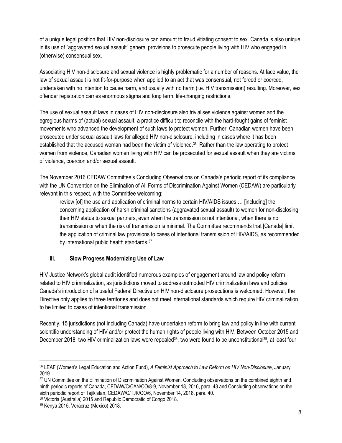of a unique legal position that HIV non-disclosure can amount to fraud vitiating consent to sex. Canada is also unique in its use of "aggravated sexual assault" general provisions to prosecute people living with HIV who engaged in (otherwise) consensual sex.

Associating HIV non-disclosure and sexual violence is highly problematic for a number of reasons. At face value, the law of sexual assault is not fit-for-purpose when applied to an act that was consensual, not forced or coerced, undertaken with no intention to cause harm, and usually with no harm (i.e. HIV transmission) resulting. Moreover, sex offender registration carries enormous stigma and long term, life-changing restrictions.

The use of sexual assault laws in cases of HIV non-disclosure also trivialises violence against women and the egregious harms of (actual) sexual assault: a practice difficult to reconcile with the hard-fought gains of feminist movements who advanced the development of such laws to protect women. Further, Canadian women have been prosecuted under sexual assault laws for alleged HIV non-disclosure, including in cases where it has been established that the accused woman had been the victim of violence.<sup>36</sup> Rather than the law operating to protect women from violence, Canadian women living with HIV can be prosecuted for sexual assault when they are victims of violence, coercion and/or sexual assault.

The November 2016 CEDAW Committee's Concluding Observations on Canada's periodic report of its compliance with the UN Convention on the Elimination of All Forms of Discrimination Against Women (CEDAW) are particularly relevant in this respect, with the Committee welcoming:

review [of] the use and application of criminal norms to certain HIV/AIDS issues … [including] the concerning application of harsh criminal sanctions (aggravated sexual assault) to women for non-disclosing their HIV status to sexual partners, even when the transmission is not intentional, when there is no transmission or when the risk of transmission is minimal. The Committee recommends that [Canada] limit the application of criminal law provisions to cases of intentional transmission of HIV/AIDS, as recommended by international public health standards.<sup>37</sup>

#### **III. Slow Progress Modernizing Use of Law**

HIV Justice Network's global audit identified numerous examples of engagement around law and policy reform related to HIV criminalization, as jurisdictions moved to address outmoded HIV criminalization laws and policies. Canada's introduction of a useful Federal Directive on HIV non-disclosure prosecutions is welcomed. However, the Directive only applies to three territories and does not meet international standards which require HIV criminalization to be limited to cases of intentional transmission.

Recently, 15 jurisdictions (not including Canada) have undertaken reform to bring law and policy in line with current scientific understanding of HIV and/or protect the human rights of people living with HIV. Between October 2015 and December 2018, two HIV criminalization laws were repealed<sup>38</sup>, two were found to be unconstitutional<sup>39</sup>, at least four

<sup>38</sup> Victoria (Australia) 2015 and Republic Democratic of Congo 2018.

<sup>36</sup> LEAF (Women's Legal Education and Action Fund), *A Feminist Approach to Law Reform on HIV Non-Disclosure*, January 2019

<sup>37</sup> UN Committee on the Elimination of Discrimination Against Women, Concluding observations on the combined eighth and ninth periodic reports of Canada, CEDAW/C/CAN/CO/8-9, November 18, 2016, para. 43 and Concluding observations on the sixth periodic report of Tajikistan, CEDAW/C/TJK/CO/6, November 14, 2018, para. 40.

<sup>39</sup> Kenya 2015, Veracruz (Mexico) 2018.